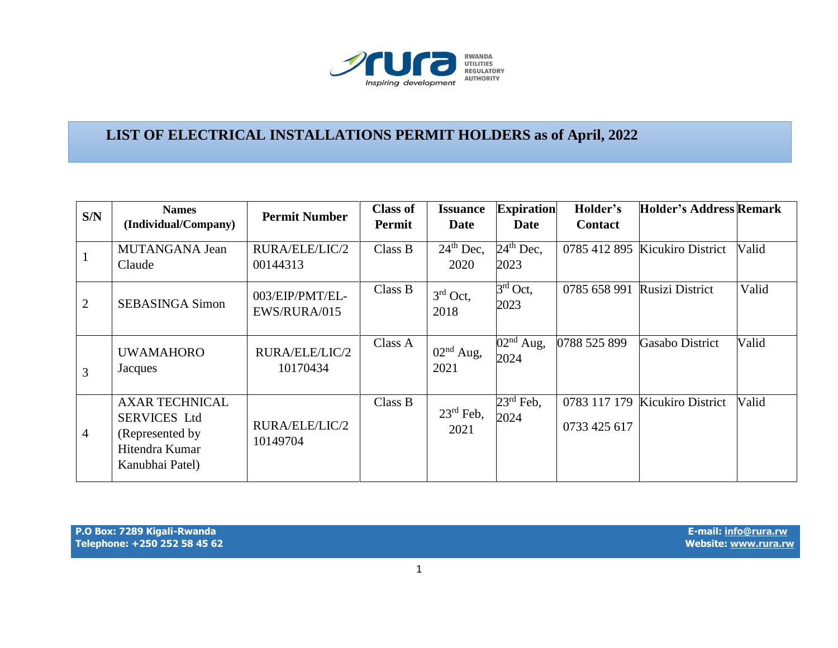

## **LIST OF ELECTRICAL INSTALLATIONS PERMIT HOLDERS as of April, 2022**

| S/N            | <b>Names</b><br>(Individual/Company)                                                                  | <b>Permit Number</b>            | <b>Class of</b><br><b>Permit</b> | <b>Issuance</b><br>Date       | <b>Expiration</b><br>Date                | Holder's<br><b>Contact</b>   | <b>Holder's Address Remark</b> |       |
|----------------|-------------------------------------------------------------------------------------------------------|---------------------------------|----------------------------------|-------------------------------|------------------------------------------|------------------------------|--------------------------------|-------|
|                | MUTANGANA Jean<br>Claude                                                                              | RURA/ELE/LIC/2<br>00144313      | Class B                          | $24th$ Dec,<br>2020           | $24th$ Dec,<br>2023                      |                              | 0785 412 895 Kicukiro District | Valid |
| 2              | <b>SEBASINGA Simon</b>                                                                                | 003/EIP/PMT/EL-<br>EWS/RURA/015 | Class B                          | $3rd$ Oct,<br>2018            | $3rd$ Oct,<br>2023                       | 0785 658 991                 | Rusizi District                | Valid |
| 3              | <b>UWAMAHORO</b><br>Jacques                                                                           | RURA/ELE/LIC/2<br>10170434      | Class A                          | $02nd$ Aug,<br>2021           | $\overline{0}2^{\text{nd}}$ Aug,<br>2024 | 0788 525 899                 | <b>Gasabo District</b>         | Valid |
| $\overline{4}$ | <b>AXAR TECHNICAL</b><br><b>SERVICES Ltd</b><br>(Represented by)<br>Hitendra Kumar<br>Kanubhai Patel) | RURA/ELE/LIC/2<br>10149704      | Class B                          | $23^{\text{rd}}$ Feb,<br>2021 | $23^{\text{rd}}$ Feb,<br>2024            | 0783 117 179<br>0733 425 617 | Kicukiro District              | Valid |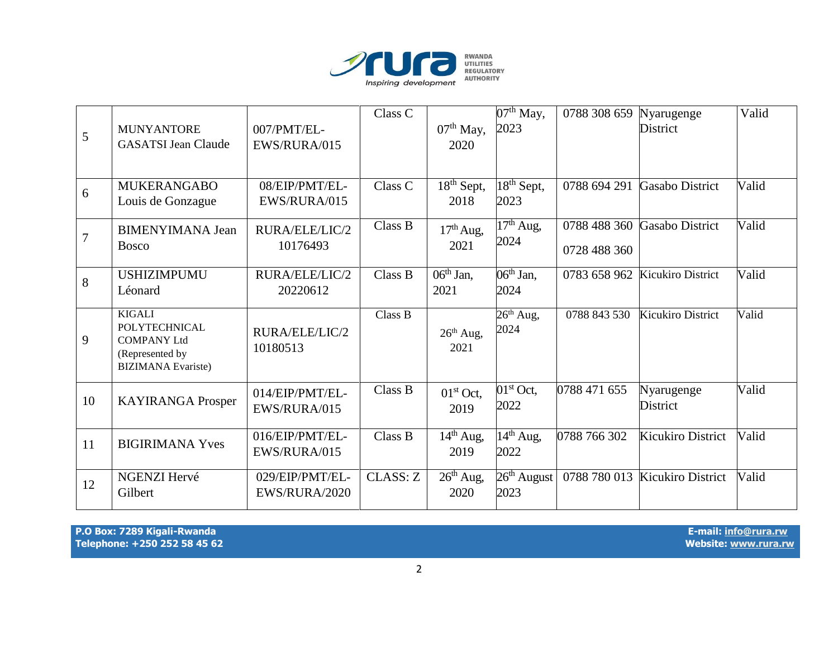

| 5              | <b>MUNYANTORE</b><br><b>GASATSI Jean Claude</b>                                                             | 007/PMT/EL-<br>EWS/RURA/015      | Class C         | $07th$ May,<br>2020               | $07th$ May,<br>2023                         | 0788 308 659                 | Nyarugenge<br><b>District</b>  | Valid |
|----------------|-------------------------------------------------------------------------------------------------------------|----------------------------------|-----------------|-----------------------------------|---------------------------------------------|------------------------------|--------------------------------|-------|
| 6              | <b>MUKERANGABO</b><br>Louis de Gonzague                                                                     | 08/EIP/PMT/EL-<br>EWS/RURA/015   | Class C         | $18th$ Sept,<br>2018              | $\overline{18}$ <sup>th</sup> Sept,<br>2023 | 0788 694 291                 | <b>Gasabo District</b>         | Valid |
| $\overline{7}$ | <b>BIMENYIMANA Jean</b><br><b>Bosco</b>                                                                     | RURA/ELE/LIC/2<br>10176493       | Class B         | $17th$ Aug,<br>2021               | $17th$ Aug,<br>2024                         | 0788 488 360<br>0728 488 360 | <b>Gasabo District</b>         | Valid |
| 8              | <b>USHIZIMPUMU</b><br>Léonard                                                                               | RURA/ELE/LIC/2<br>20220612       | Class B         | $\overline{0}6^{th}$ Jan,<br>2021 | $\overline{06}$ <sup>th</sup> Jan,<br>2024  |                              | 0783 658 962 Kicukiro District | Valid |
| 9              | <b>KIGALI</b><br><b>POLYTECHNICAL</b><br><b>COMPANY Ltd</b><br>(Represented by<br><b>BIZIMANA</b> Evariste) | RURA/ELE/LIC/2<br>10180513       | Class B         | $26th$ Aug,<br>2021               | $26th$ Aug,<br>2024                         | 0788 843 530                 | Kicukiro District              | Valid |
| 10             | <b>KAYIRANGA Prosper</b>                                                                                    | 014/EIP/PMT/EL-<br>EWS/RURA/015  | Class B         | $01st$ Oct,<br>2019               | $01st$ Oct,<br>2022                         | 0788 471 655                 | Nyarugenge<br>District         | Valid |
| 11             | <b>BIGIRIMANA Yves</b>                                                                                      | 016/EIP/PMT/EL-<br>EWS/RURA/015  | Class B         | $14th$ Aug,<br>2019               | $14^{th}$ Aug,<br>2022                      | 0788 766 302                 | <b>Kicukiro District</b>       | Valid |
| 12             | <b>NGENZI Hervé</b><br>Gilbert                                                                              | 029/EIP/PMT/EL-<br>EWS/RURA/2020 | <b>CLASS: Z</b> | $26th$ Aug,<br>2020               | $26th$ August<br>2023                       |                              | 0788 780 013 Kicukiro District | Valid |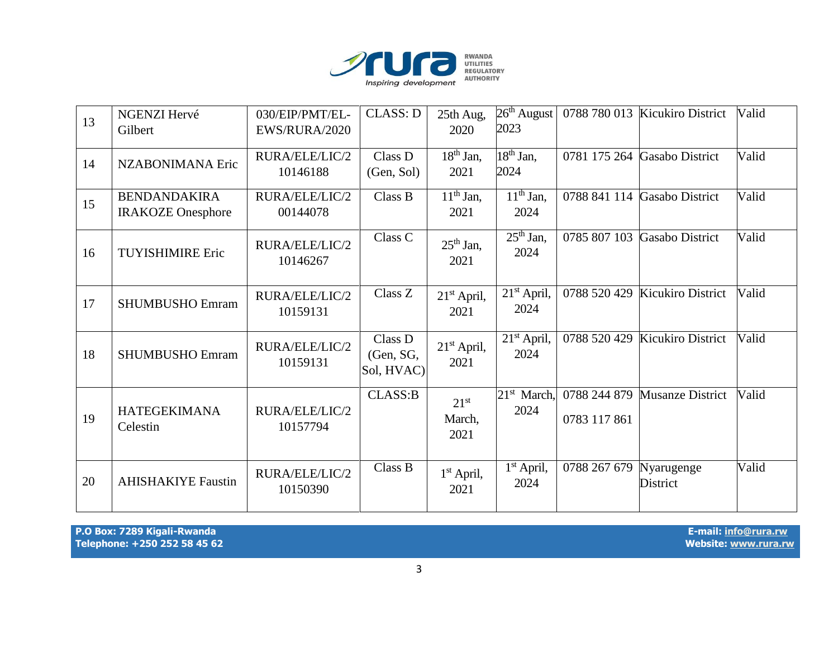

| 13 | NGENZI Hervé<br>Gilbert                         | 030/EIP/PMT/EL-<br>EWS/RURA/2020 | <b>CLASS: D</b>                    | 25th Aug,<br>2020                  | $26th$ August<br>2023                      |              | 0788 780 013 Kicukiro District | Valid |
|----|-------------------------------------------------|----------------------------------|------------------------------------|------------------------------------|--------------------------------------------|--------------|--------------------------------|-------|
| 14 | NZABONIMANA Eric                                | RURA/ELE/LIC/2<br>10146188       | Class D<br>(Gen, Sol)              | $18th$ Jan,<br>2021                | $\overline{18}$ <sup>th</sup> Jan,<br>2024 |              | 0781 175 264 Gasabo District   | Valid |
| 15 | <b>BENDANDAKIRA</b><br><b>IRAKOZE</b> Onesphore | RURA/ELE/LIC/2<br>00144078       | Class B                            | $11th$ Jan,<br>2021                | $\overline{11}$ <sup>th</sup> Jan,<br>2024 |              | 0788 841 114 Gasabo District   | Valid |
| 16 | <b>TUYISHIMIRE Eric</b>                         | RURA/ELE/LIC/2<br>10146267       | Class C                            | $25th$ Jan,<br>2021                | $\overline{25}$ <sup>th</sup> Jan,<br>2024 | 0785 807 103 | <b>Gasabo District</b>         | Valid |
| 17 | <b>SHUMBUSHO Emram</b>                          | RURA/ELE/LIC/2<br>10159131       | Class Z                            | $21st$ April,<br>2021              | 21 <sup>st</sup> April,<br>2024            |              | 0788 520 429 Kicukiro District | Valid |
| 18 | <b>SHUMBUSHO Emram</b>                          | RURA/ELE/LIC/2<br>10159131       | Class D<br>(Gen, SG,<br>Sol, HVAC) | $21st$ April,<br>2021              | $21st$ April,<br>2024                      | 0788 520 429 | Kicukiro District              | Valid |
| 19 | <b>HATEGEKIMANA</b><br>Celestin                 | RURA/ELE/LIC/2<br>10157794       | CLASS:B                            | 21 <sup>st</sup><br>March,<br>2021 | $21st$ March,<br>2024                      | 0783 117 861 | 0788 244 879 Musanze District  | Valid |
| 20 | <b>AHISHAKIYE Faustin</b>                       | RURA/ELE/LIC/2<br>10150390       | Class B                            | $1st$ April,<br>2021               | $1st$ April,<br>2024                       | 0788 267 679 | Nyarugenge<br>District         | Valid |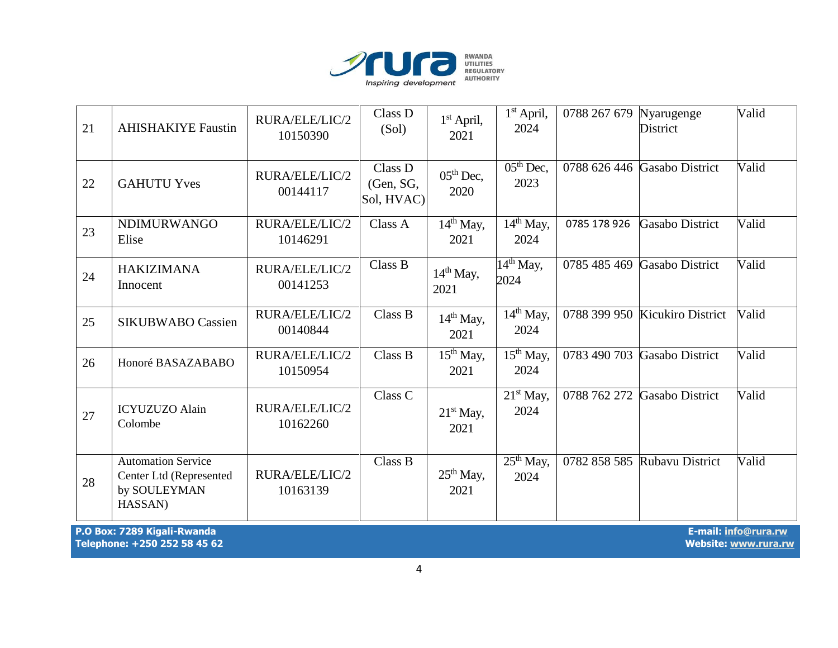

| 21 | <b>AHISHAKIYE Faustin</b>                                                       | RURA/ELE/LIC/2<br>10150390 | Class D<br>(Sol)                   | $1st$ April,<br>2021 | $1st$ April,<br>2024              | 0788 267 679 Nyarugenge | <b>District</b>                | Valid |
|----|---------------------------------------------------------------------------------|----------------------------|------------------------------------|----------------------|-----------------------------------|-------------------------|--------------------------------|-------|
| 22 | <b>GAHUTU Yves</b>                                                              | RURA/ELE/LIC/2<br>00144117 | Class D<br>(Gen, SG,<br>Sol, HVAC) | $05th$ Dec,<br>2020  | $\overline{05^{th}}$ Dec,<br>2023 |                         | 0788 626 446 Gasabo District   | Valid |
| 23 | <b>NDIMURWANGO</b><br>Elise                                                     | RURA/ELE/LIC/2<br>10146291 | Class A                            | $14th$ May,<br>2021  | $14th$ May,<br>2024               | 0785 178 926            | <b>Gasabo District</b>         | Valid |
| 24 | <b>HAKIZIMANA</b><br>Innocent                                                   | RURA/ELE/LIC/2<br>00141253 | Class B                            | $14th$ May,<br>2021  | $14th$ May,<br>2024               | 0785 485 469            | <b>Gasabo District</b>         | Valid |
| 25 | <b>SIKUBWABO Cassien</b>                                                        | RURA/ELE/LIC/2<br>00140844 | Class B                            | $14th$ May,<br>2021  | $14th$ May,<br>2024               |                         | 0788 399 950 Kicukiro District | Valid |
| 26 | Honoré BASAZABABO                                                               | RURA/ELE/LIC/2<br>10150954 | Class B                            | $15th$ May,<br>2021  | $15th$ May,<br>2024               | 0783 490 703            | Gasabo District                | Valid |
| 27 | <b>ICYUZUZO Alain</b><br>Colombe                                                | RURA/ELE/LIC/2<br>10162260 | Class C                            | $21st$ May,<br>2021  | $21st$ May,<br>2024               | 0788 762 272            | <b>Gasabo District</b>         | Valid |
| 28 | <b>Automation Service</b><br>Center Ltd (Represented<br>by SOULEYMAN<br>HASSAN) | RURA/ELE/LIC/2<br>10163139 | Class B                            | $25th$ May,<br>2021  | $25th$ May,<br>2024               |                         | 0782 858 585 Rubayu District   | Valid |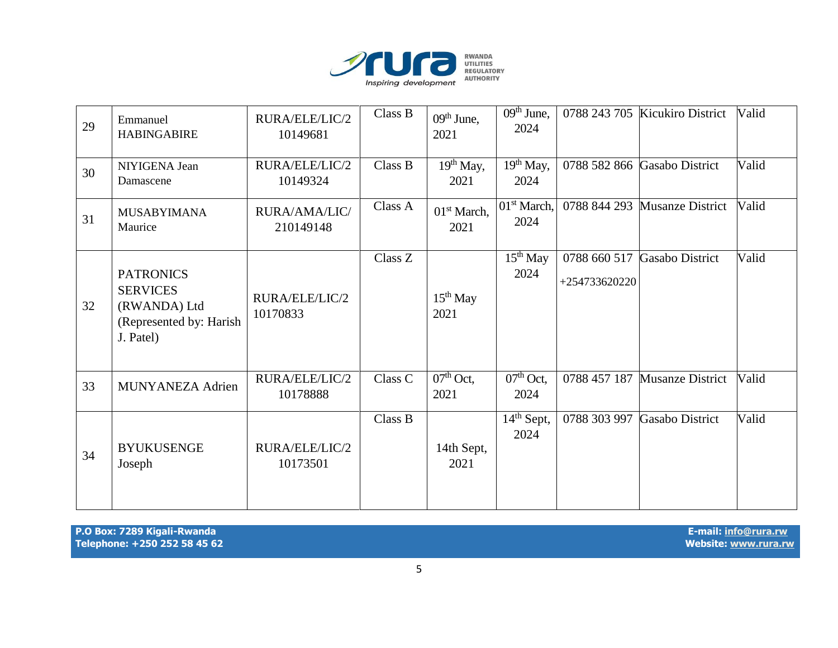

| 29 | Emmanuel<br><b>HABINGABIRE</b>                                                              | RURA/ELE/LIC/2<br>10149681 | Class B | $09th$ June,<br>2021            | $09th$ June,<br>2024            |                               | 0788 243 705 Kicukiro District | Valid |
|----|---------------------------------------------------------------------------------------------|----------------------------|---------|---------------------------------|---------------------------------|-------------------------------|--------------------------------|-------|
| 30 | NIYIGENA Jean<br>Damascene                                                                  | RURA/ELE/LIC/2<br>10149324 | Class B | $19th$ May,<br>2021             | $19th$ May,<br>2024             |                               | 0788 582 866 Gasabo District   | Valid |
| 31 | <b>MUSABYIMANA</b><br>Maurice                                                               | RURA/AMA/LIC/<br>210149148 | Class A | 01 <sup>st</sup> March,<br>2021 | 01 <sup>st</sup> March,<br>2024 | 0788 844 293                  | Musanze District               | Valid |
| 32 | <b>PATRONICS</b><br><b>SERVICES</b><br>(RWANDA) Ltd<br>(Represented by: Harish<br>J. Patel) | RURA/ELE/LIC/2<br>10170833 | Class Z | $15th$ May<br>2021              | $15th$ May<br>2024              | 0788 660 517<br>+254733620220 | <b>Gasabo District</b>         | Valid |
| 33 | MUNYANEZA Adrien                                                                            | RURA/ELE/LIC/2<br>10178888 | Class C | $07th$ Oct,<br>2021             | $07th$ Oct,<br>2024             | 0788 457 187                  | <b>Musanze District</b>        | Valid |
| 34 | <b>BYUKUSENGE</b><br>Joseph                                                                 | RURA/ELE/LIC/2<br>10173501 | Class B | 14th Sept,<br>2021              | $14th$ Sept,<br>2024            | 0788 303 997                  | <b>Gasabo District</b>         | Valid |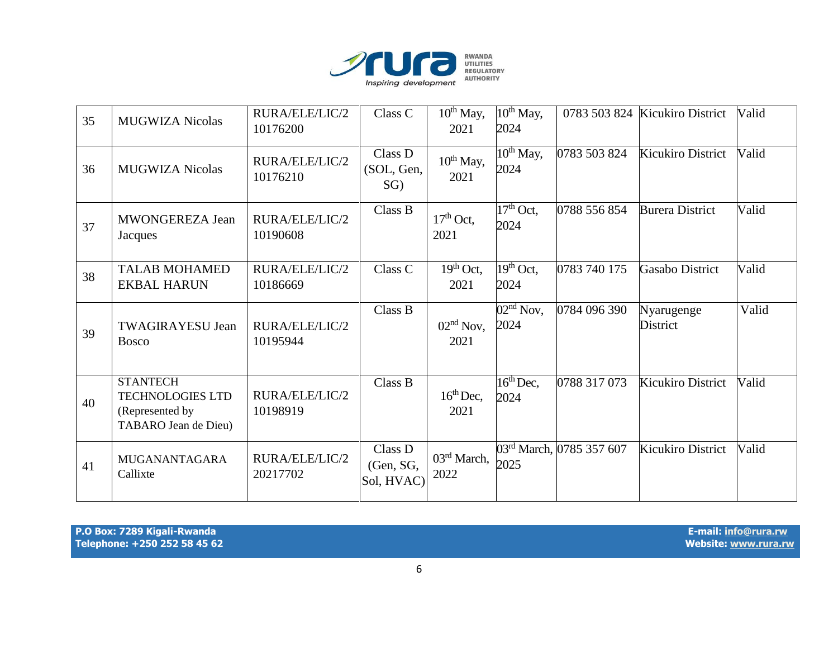

| 35 | <b>MUGWIZA Nicolas</b>                                                                | RURA/ELE/LIC/2<br>10176200 | Class C                            | $10^{th}$ May,<br>2021            | $10^{th}$ May,<br>2024            |                          | 0783 503 824 Kicukiro District | Valid |
|----|---------------------------------------------------------------------------------------|----------------------------|------------------------------------|-----------------------------------|-----------------------------------|--------------------------|--------------------------------|-------|
| 36 | <b>MUGWIZA Nicolas</b>                                                                | RURA/ELE/LIC/2<br>10176210 | Class D<br>(SOL, Gen,<br>$SG$ )    | $10^{th}$ May,<br>2021            | $10^{th}$ May,<br>2024            | 0783 503 824             | <b>Kicukiro District</b>       | Valid |
| 37 | <b>MWONGEREZA Jean</b><br>Jacques                                                     | RURA/ELE/LIC/2<br>10190608 | Class B                            | $17th$ Oct,<br>2021               | $\overline{17^{th}$ Oct,<br>2024  | 0788 556 854             | <b>Burera District</b>         | Valid |
| 38 | <b>TALAB MOHAMED</b><br><b>EKBAL HARUN</b>                                            | RURA/ELE/LIC/2<br>10186669 | Class C                            | $\overline{1}9^{th}$ Oct,<br>2021 | $\overline{19^{th}$ Oct,<br>2024  | 0783 740 175             | Gasabo District                | Valid |
| 39 | <b>TWAGIRAYESU Jean</b><br><b>Bosco</b>                                               | RURA/ELE/LIC/2<br>10195944 | Class B                            | $02nd$ Nov,<br>2021               | $\overline{02^{nd}}$ Nov,<br>2024 | 0784 096 390             | Nyarugenge<br><b>District</b>  | Valid |
| 40 | <b>STANTECH</b><br><b>TECHNOLOGIES LTD</b><br>(Represented by<br>TABARO Jean de Dieu) | RURA/ELE/LIC/2<br>10198919 | Class B                            | $16th$ Dec,<br>2021               | $16^{th}$ Dec,<br>2024            | 0788 317 073             | <b>Kicukiro District</b>       | Valid |
| 41 | <b>MUGANANTAGARA</b><br>Callixte                                                      | RURA/ELE/LIC/2<br>20217702 | Class D<br>(Gen, SG,<br>Sol, HVAC) | 03rd March,<br>2022               | 2025                              | 03rd March, 0785 357 607 | Kicukiro District              | Valid |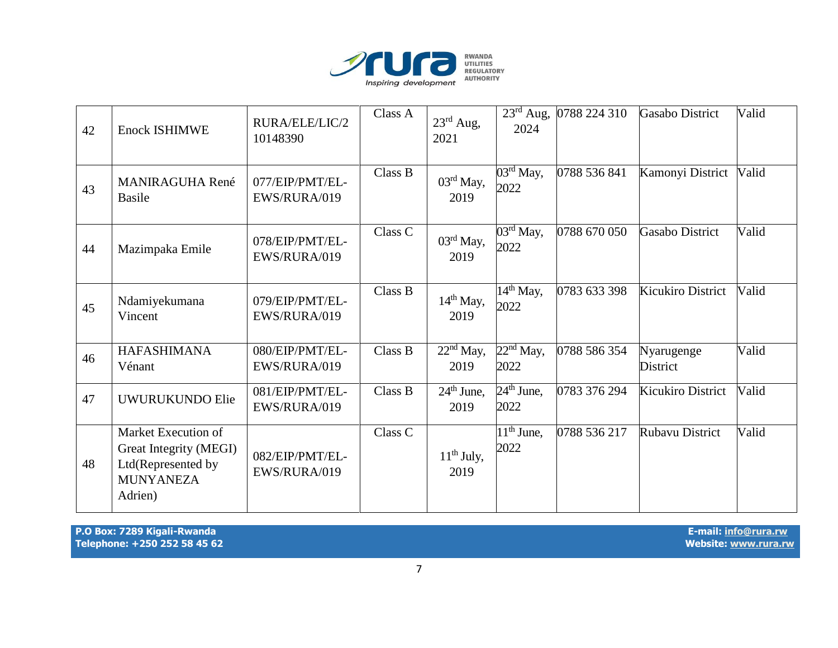

| 42 | <b>Enock ISHIMWE</b>                                                                               | RURA/ELE/LIC/2<br>10148390      | Class A | $23^{\text{rd}}$ Aug,<br>2021         | $23^{\text{rd}}$ Aug,<br>2024             | 0788 224 310 | Gasabo District          | Valid |
|----|----------------------------------------------------------------------------------------------------|---------------------------------|---------|---------------------------------------|-------------------------------------------|--------------|--------------------------|-------|
| 43 | <b>MANIRAGUHA René</b><br><b>Basile</b>                                                            | 077/EIP/PMT/EL-<br>EWS/RURA/019 | Class B | $03^{\text{rd}}$ May,<br>2019         | $03^{\text{rd}}$ May,<br>2022             | 0788 536 841 | Kamonyi District         | Valid |
| 44 | Mazimpaka Emile                                                                                    | 078/EIP/PMT/EL-<br>EWS/RURA/019 | Class C | 03rd May,<br>2019                     | $03^{\text{rd}}$ May,<br>2022             | 0788 670 050 | <b>Gasabo District</b>   | Valid |
| 45 | Ndamiyekumana<br>Vincent                                                                           | 079/EIP/PMT/EL-<br>EWS/RURA/019 | Class B | $14th$ May,<br>2019                   | $14th$ May,<br>2022                       | 0783 633 398 | <b>Kicukiro District</b> | Valid |
| 46 | <b>HAFASHIMANA</b><br>Vénant                                                                       | 080/EIP/PMT/EL-<br>EWS/RURA/019 | Class B | $\overline{22}^{\rm nd}$ May,<br>2019 | $22nd$ May,<br>2022                       | 0788 586 354 | Nyarugenge<br>District   | Valid |
| 47 | UWURUKUNDO Elie                                                                                    | 081/EIP/PMT/EL-<br>EWS/RURA/019 | Class B | $24th$ June,<br>2019                  | $24th$ June,<br>2022                      | 0783 376 294 | Kicukiro District        | Valid |
| 48 | Market Execution of<br>Great Integrity (MEGI)<br>Ltd(Represented by<br><b>MUNYANEZA</b><br>Adrien) | 082/EIP/PMT/EL-<br>EWS/RURA/019 | Class C | $11th$ July,<br>2019                  | $\overline{1}1^{\text{th}}$ June,<br>2022 | 0788 536 217 | <b>Rubavu District</b>   | Valid |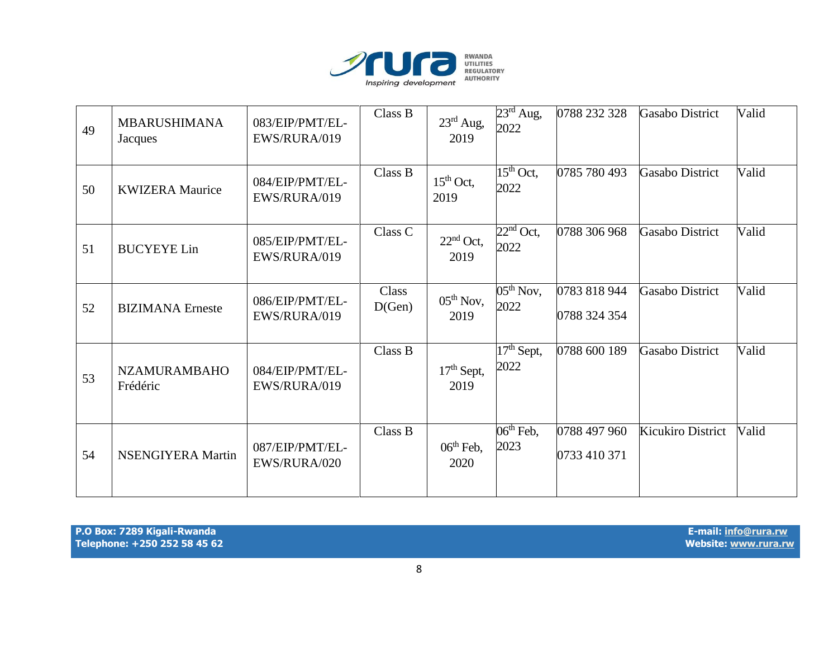

| 49 | <b>MBARUSHIMANA</b><br>Jacques  | 083/EIP/PMT/EL-<br>EWS/RURA/019 | Class B         | $23^{\text{rd}}$ Aug,<br>2019 | $23^{\text{rd}}$ Aug,<br>2022 | 0788 232 328                 | Gasabo District        | Valid |
|----|---------------------------------|---------------------------------|-----------------|-------------------------------|-------------------------------|------------------------------|------------------------|-------|
| 50 | <b>KWIZERA</b> Maurice          | 084/EIP/PMT/EL-<br>EWS/RURA/019 | Class B         | $15th$ Oct,<br>2019           | $15th$ Oct,<br>2022           | 0785 780 493                 | <b>Gasabo District</b> | Valid |
| 51 | <b>BUCYEYE Lin</b>              | 085/EIP/PMT/EL-<br>EWS/RURA/019 | Class C         | $22nd$ Oct,<br>2019           | $22nd$ Oct,<br>2022           | 0788 306 968                 | Gasabo District        | Valid |
| 52 | <b>BIZIMANA</b> Erneste         | 086/EIP/PMT/EL-<br>EWS/RURA/019 | Class<br>D(Gen) | $05th$ Nov,<br>2019           | $05th$ Nov,<br>2022           | 0783 818 944<br>0788 324 354 | <b>Gasabo District</b> | Valid |
| 53 | <b>NZAMURAMBAHO</b><br>Frédéric | 084/EIP/PMT/EL-<br>EWS/RURA/019 | Class B         | $17th$ Sept,<br>2019          | $17th$ Sept,<br>2022          | 0788 600 189                 | Gasabo District        | Valid |
| 54 | <b>NSENGIYERA Martin</b>        | 087/EIP/PMT/EL-<br>EWS/RURA/020 | Class B         | $06th$ Feb,<br>2020           | $06th$ Feb,<br>2023           | 0788 497 960<br>0733 410 371 | Kicukiro District      | Valid |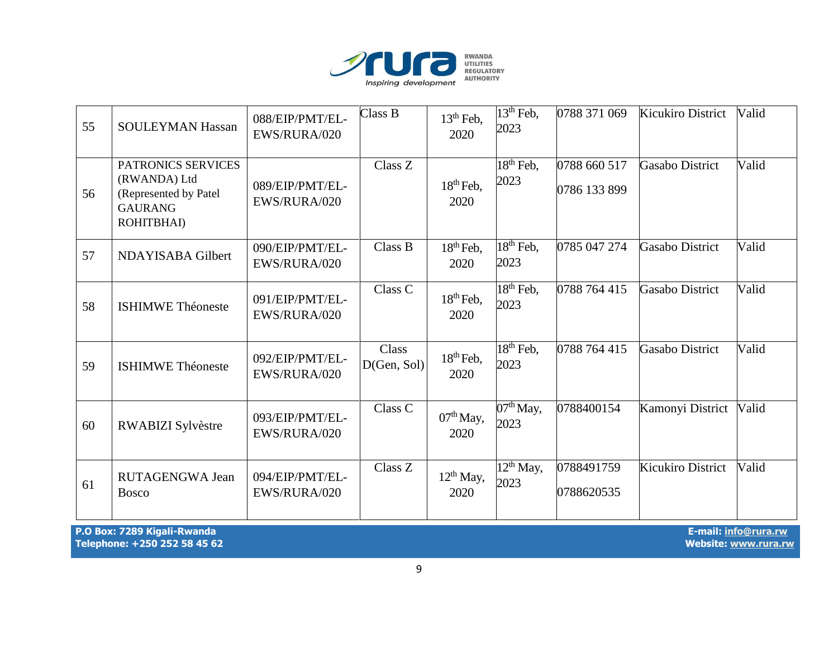

| 55 | <b>SOULEYMAN Hassan</b>                                                                     | 088/EIP/PMT/EL-<br>EWS/RURA/020 | Class B              | $13th$ Feb,<br>2020    | $13th$ Feb,<br>2023                        | 0788 371 069                 | Kicukiro District      | Valid |
|----|---------------------------------------------------------------------------------------------|---------------------------------|----------------------|------------------------|--------------------------------------------|------------------------------|------------------------|-------|
| 56 | PATRONICS SERVICES<br>(RWANDA) Ltd<br>(Represented by Patel<br><b>GAURANG</b><br>ROHITBHAI) | 089/EIP/PMT/EL-<br>EWS/RURA/020 | Class Z              | $18th$ Feb,<br>2020    | $\overline{18}$ <sup>th</sup> Feb,<br>2023 | 0788 660 517<br>0786 133 899 | Gasabo District        | Valid |
| 57 | NDAYISABA Gilbert                                                                           | 090/EIP/PMT/EL-<br>EWS/RURA/020 | Class B              | $18th$ Feb,<br>2020    | $\overline{18^{th}}$ Feb,<br>2023          | 0785 047 274                 | <b>Gasabo District</b> | Valid |
| 58 | <b>ISHIMWE Théoneste</b>                                                                    | 091/EIP/PMT/EL-<br>EWS/RURA/020 | Class C              | $18th$ Feb,<br>2020    | $18th$ Feb,<br>2023                        | 0788 764 415                 | Gasabo District        | Valid |
| 59 | <b>ISHIMWE Théoneste</b>                                                                    | 092/EIP/PMT/EL-<br>EWS/RURA/020 | Class<br>D(Gen, Sol) | $18th$ Feb,<br>2020    | $18th$ Feb,<br>2023                        | 0788 764 415                 | Gasabo District        | Valid |
| 60 | RWABIZI Sylvèstre                                                                           | 093/EIP/PMT/EL-<br>EWS/RURA/020 | Class C              | $07th$ May,<br>2020    | $\overline{07}$ <sup>th</sup> May,<br>2023 | 0788400154                   | Kamonyi District       | Valid |
| 61 | RUTAGENGWA Jean<br><b>Bosco</b>                                                             | 094/EIP/PMT/EL-<br>EWS/RURA/020 | Class Z              | $12^{th}$ May,<br>2020 | $12^{th}$ May,<br>2023                     | 0788491759<br>0788620535     | Kicukiro District      | Valid |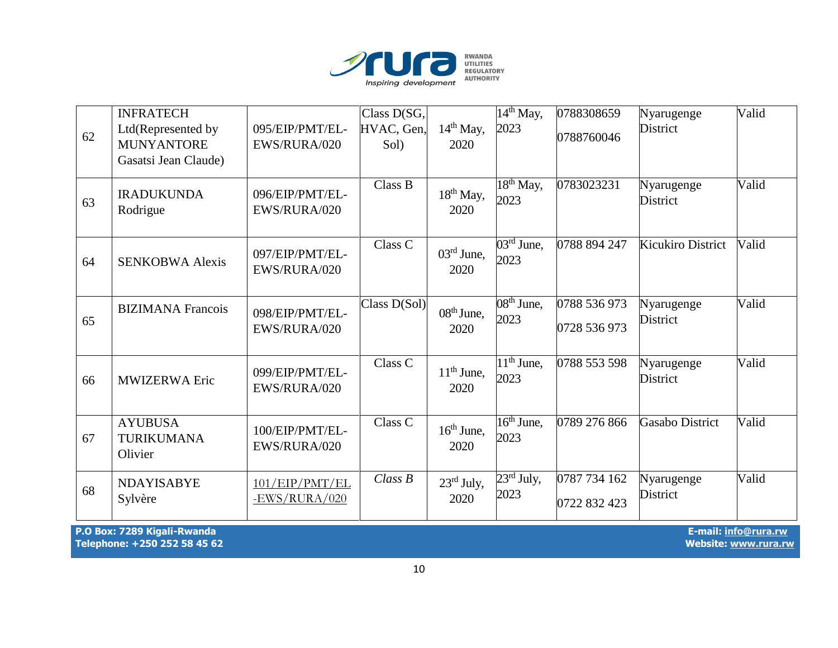

| 62 | <b>INFRATECH</b><br>Ltd(Represented by<br><b>MUNYANTORE</b><br>Gasatsi Jean Claude) | 095/EIP/PMT/EL-<br>EWS/RURA/020 | Class D(SG,<br>HVAC, Gen,<br>Sol) | $14th$ May,<br>2020            | $\overline{14^{th}}$ May,<br>2023  | 0788308659<br>0788760046     | Nyarugenge<br>District        | Valid |
|----|-------------------------------------------------------------------------------------|---------------------------------|-----------------------------------|--------------------------------|------------------------------------|------------------------------|-------------------------------|-------|
| 63 | <b>IRADUKUNDA</b><br>Rodrigue                                                       | 096/EIP/PMT/EL-<br>EWS/RURA/020 | Class B                           | $18th$ May,<br>2020            | $18th$ May,<br>2023                | 0783023231                   | Nyarugenge<br><b>District</b> | Valid |
| 64 | <b>SENKOBWA Alexis</b>                                                              | 097/EIP/PMT/EL-<br>EWS/RURA/020 | Class C                           | $03^{\text{rd}}$ June,<br>2020 | $\overline{03^{rd}$ June,<br>2023  | 0788 894 247                 | <b>Kicukiro District</b>      | Valid |
| 65 | <b>BIZIMANA</b> Francois                                                            | 098/EIP/PMT/EL-<br>EWS/RURA/020 | Class D(Sol)                      | $08th$ June,<br>2020           | $08th$ June,<br>2023               | 0788 536 973<br>0728 536 973 | Nyarugenge<br>District        | Valid |
| 66 | <b>MWIZERWA Eric</b>                                                                | 099/EIP/PMT/EL-<br>EWS/RURA/020 | Class C                           | $11th$ June,<br>2020           | $\overline{11^{th}}$ June,<br>2023 | 0788 553 598                 | Nyarugenge<br>District        | Valid |
| 67 | <b>AYUBUSA</b><br><b>TURIKUMANA</b><br>Olivier                                      | 100/EIP/PMT/EL-<br>EWS/RURA/020 | Class C                           | $16th$ June,<br>2020           | $16th$ June,<br>2023               | 0789 276 866                 | Gasabo District               | Valid |
| 68 | <b>NDAYISABYE</b><br>Sylvère                                                        | 101/EP/PMT/EL<br>-EWS/RURA/020  | Class B                           | $23rd$ July,<br>2020           | $23^{\rm rd}$ July,<br>2023        | 0787 734 162<br>0722 832 423 | Nyarugenge<br><b>District</b> | Valid |

**P.O Box: 7289 Kigali-Rwanda E-mail[: info@rura.rw](mailto:info@rura.rw)** Telephone: +250 252 58 45 62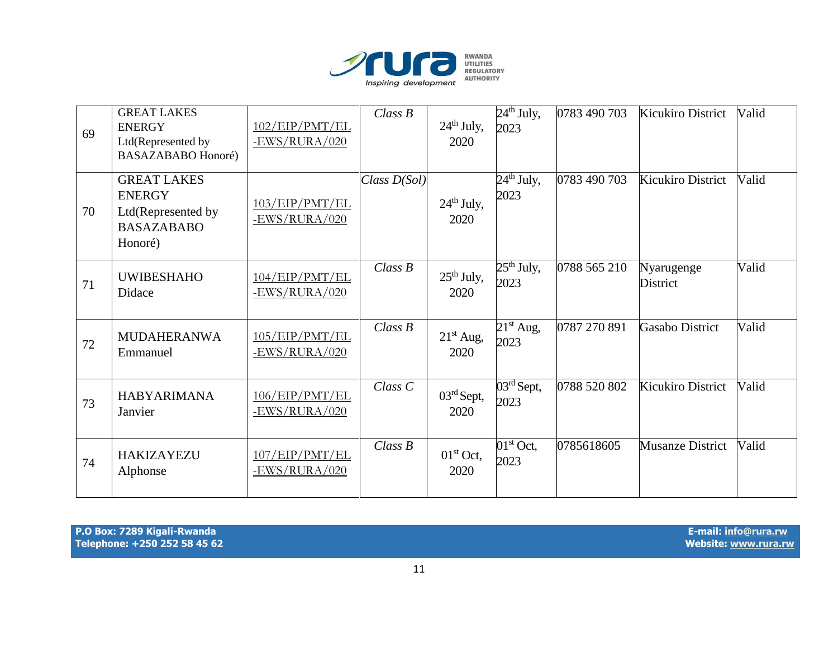

| 69 | <b>GREAT LAKES</b><br><b>ENERGY</b><br>Ltd(Represented by<br><b>BASAZABABO Honoré)</b>    | 102/EP/PMT/EL<br>$-EWS/RURA/020$ | Class B        | $24th$ July,<br>2020 | $24th$ July,<br>2023               | 0783 490 703 | <b>Kicukiro District</b>      | Valid |
|----|-------------------------------------------------------------------------------------------|----------------------------------|----------------|----------------------|------------------------------------|--------------|-------------------------------|-------|
| 70 | <b>GREAT LAKES</b><br><b>ENERGY</b><br>Ltd(Represented by<br><b>BASAZABABO</b><br>Honoré) | 103/EP/PMT/EL<br>$-EWS/RURA/020$ | Class $D(Sol)$ | $24th$ July,<br>2020 | $24th$ July,<br>2023               | 0783 490 703 | <b>Kicukiro District</b>      | Valid |
| 71 | <b>UWIBESHAHO</b><br>Didace                                                               | 104/EP/PMT/EL<br>$-EWS/RURA/020$ | Class B        | $25th$ July,<br>2020 | $25th$ July,<br>2023               | 0788 565 210 | Nyarugenge<br><b>District</b> | Valid |
| 72 | <b>MUDAHERANWA</b><br>Emmanuel                                                            | 105/EP/PMT/EL<br>-EWS/RURA/020   | Class B        | $21st$ Aug,<br>2020  | $21st$ Aug,<br>2023                | 0787 270 891 | <b>Gasabo District</b>        | Valid |
| 73 | <b>HABYARIMANA</b><br>Janvier                                                             | 106/EP/PMT/EL<br>$-EWS/RURA/020$ | $Class\ C$     | $03rd$ Sept,<br>2020 | $\overline{03^{rd}}$ Sept,<br>2023 | 0788 520 802 | <b>Kicukiro District</b>      | Valid |
| 74 | <b>HAKIZAYEZU</b><br>Alphonse                                                             | 107/EP/PMT/EL<br>$-EWS/RURA/020$ | Class B        | $01st$ Oct,<br>2020  | $01st$ Oct,<br>2023                | 0785618605   | <b>Musanze District</b>       | Valid |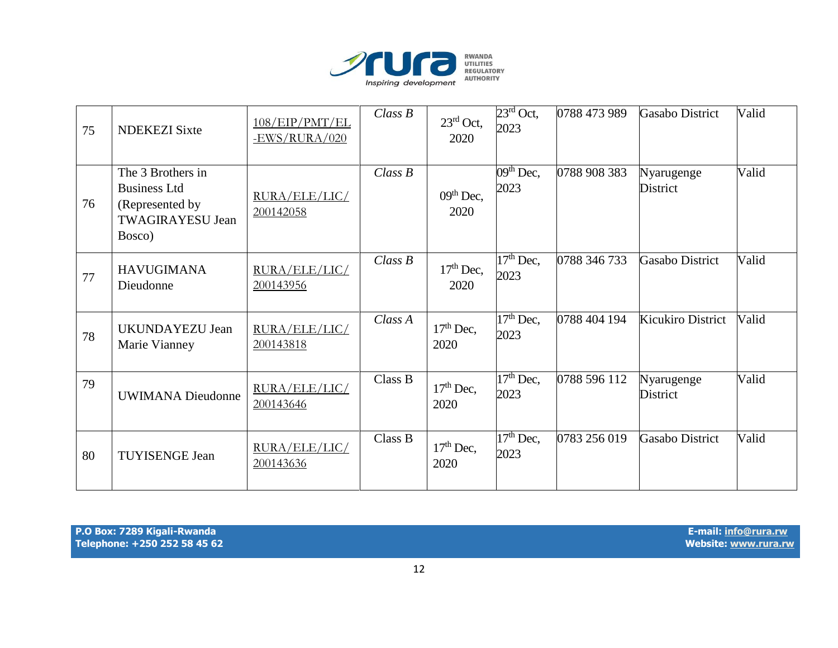

| 75 | <b>NDEKEZI Sixte</b>                                                                             | 108/EP/PMT/EL<br>$-EWS/RURA/020$ | Class B | $23^{\text{rd}}$ Oct,<br>2020 | $23^{\text{rd}}$ Oct,<br>2023  | 0788 473 989 | Gasabo District               | Valid |
|----|--------------------------------------------------------------------------------------------------|----------------------------------|---------|-------------------------------|--------------------------------|--------------|-------------------------------|-------|
| 76 | The 3 Brothers in<br><b>Business Ltd</b><br>(Represented by<br><b>TWAGIRAYESU Jean</b><br>Bosco) | RURA/ELE/LIC/<br>200142058       | Class B | $09th$ Dec,<br>2020           | $\overline{0}9th$ Dec,<br>2023 | 0788 908 383 | Nyarugenge<br>District        | Valid |
| 77 | <b>HAVUGIMANA</b><br>Dieudonne                                                                   | RURA/ELE/LIC/<br>200143956       | Class B | $17th$ Dec,<br>2020           | $17th$ Dec,<br>2023            | 0788 346 733 | <b>Gasabo District</b>        | Valid |
| 78 | UKUNDAYEZU Jean<br>Marie Vianney                                                                 | RURA/ELE/LIC/<br>200143818       | Class A | $17th$ Dec,<br>2020           | $17th$ Dec,<br>2023            | 0788 404 194 | Kicukiro District             | Valid |
| 79 | <b>UWIMANA</b> Dieudonne                                                                         | RURA/ELE/LIC/<br>200143646       | Class B | $17th$ Dec,<br>2020           | $17th$ Dec,<br>2023            | 0788 596 112 | Nyarugenge<br><b>District</b> | Valid |
| 80 | <b>TUYISENGE Jean</b>                                                                            | RURA/ELE/LIC/<br>200143636       | Class B | $17th$ Dec,<br>2020           | $17th$ Dec,<br>2023            | 0783 256 019 | <b>Gasabo District</b>        | Valid |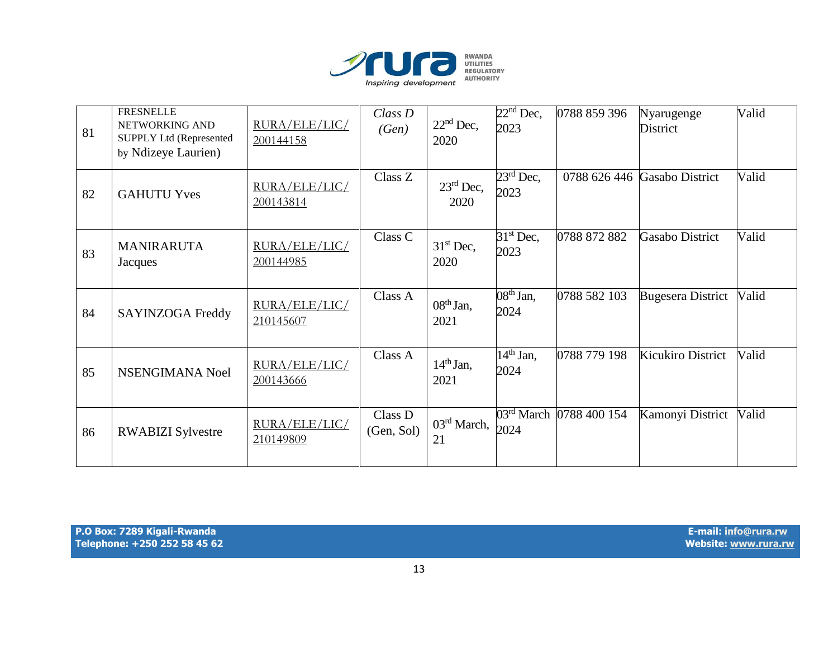

| 81 | <b>FRESNELLE</b><br>NETWORKING AND<br><b>SUPPLY Ltd (Represented</b><br>by Ndizeye Laurien) | RURA/ELE/LIC/<br>200144158 | $Class\,D$<br>(Gen)   | $22nd$ Dec,<br>2020           | $22nd$ Dec,<br>2023 | 0788 859 396            | Nyarugenge<br>District   | Valid |
|----|---------------------------------------------------------------------------------------------|----------------------------|-----------------------|-------------------------------|---------------------|-------------------------|--------------------------|-------|
| 82 | <b>GAHUTU Yves</b>                                                                          | RURA/ELE/LIC/<br>200143814 | Class Z               | $23^{\text{rd}}$ Dec,<br>2020 | $23rd$ Dec,<br>2023 | 0788 626 446            | Gasabo District          | Valid |
| 83 | <b>MANIRARUTA</b><br>Jacques                                                                | RURA/ELE/LIC/<br>200144985 | Class C               | $31st$ Dec,<br>2020           | $31st$ Dec,<br>2023 | 0788 872 882            | Gasabo District          | Valid |
| 84 | SAYINZOGA Freddy                                                                            | RURA/ELE/LIC/<br>210145607 | Class A               | $08th$ Jan,<br>2021           | $08th$ Jan,<br>2024 | 0788 582 103            | <b>Bugesera District</b> | Valid |
| 85 | NSENGIMANA Noel                                                                             | RURA/ELE/LIC/<br>200143666 | Class A               | $14th$ Jan,<br>2021           | $14th$ Jan,<br>2024 | 0788 779 198            | <b>Kicukiro District</b> | Valid |
| 86 | <b>RWABIZI Sylvestre</b>                                                                    | RURA/ELE/LIC/<br>210149809 | Class D<br>(Gen, Sol) | 03 <sup>rd</sup> March,<br>21 | 2024                | 03rd March 0788 400 154 | Kamonyi District         | Valid |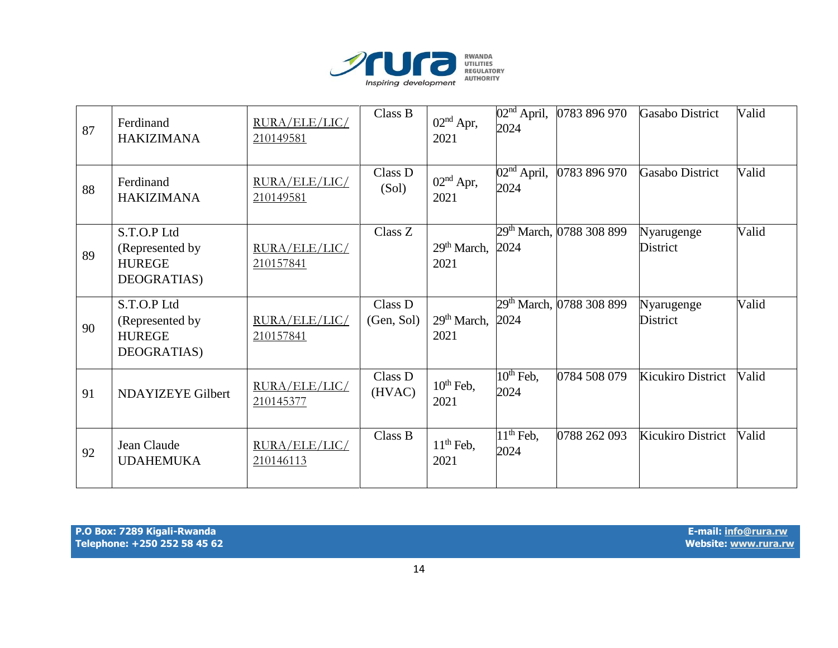

| 87 | Ferdinand<br><b>HAKIZIMANA</b>                                 | RURA/ELE/LIC/<br>210149581 | Class B               | $02nd$ Apr,<br>2021             | $\overline{0}2^{\text{nd}}$ April,<br>2024 | 0783 896 970                         | <b>Gasabo District</b>        | Valid |
|----|----------------------------------------------------------------|----------------------------|-----------------------|---------------------------------|--------------------------------------------|--------------------------------------|-------------------------------|-------|
| 88 | Ferdinand<br><b>HAKIZIMANA</b>                                 | RURA/ELE/LIC/<br>210149581 | Class D<br>(Sol)      | $02nd$ Apr,<br>2021             | $\overline{O2}^{\text{nd}}$ April,<br>2024 | 0783 896 970                         | Gasabo District               | Valid |
| 89 | S.T.O.P Ltd<br>(Represented by<br><b>HUREGE</b><br>DEOGRATIAS) | RURA/ELE/LIC/<br>210157841 | Class Z               | 29 <sup>th</sup> March,<br>2021 | 2024                                       | 29th March, 0788 308 899             | Nyarugenge<br>District        | Valid |
| 90 | S.T.O.P Ltd<br>(Represented by<br><b>HUREGE</b><br>DEOGRATIAS) | RURA/ELE/LIC/<br>210157841 | Class D<br>(Gen, Sol) | $29th March$ ,<br>2021          | 2024                                       | 29 <sup>th</sup> March, 0788 308 899 | Nyarugenge<br><b>District</b> | Valid |
| 91 | <b>NDAYIZEYE Gilbert</b>                                       | RURA/ELE/LIC/<br>210145377 | Class D<br>(HVAC)     | $10th$ Feb,<br>2021             | $10^{th}$ Feb,<br>2024                     | 0784 508 079                         | Kicukiro District             | Valid |
| 92 | Jean Claude<br><b>UDAHEMUKA</b>                                | RURA/ELE/LIC/<br>210146113 | Class B               | $11th$ Feb,<br>2021             | $\overline{11}$ <sup>th</sup> Feb,<br>2024 | 0788 262 093                         | Kicukiro District             | Valid |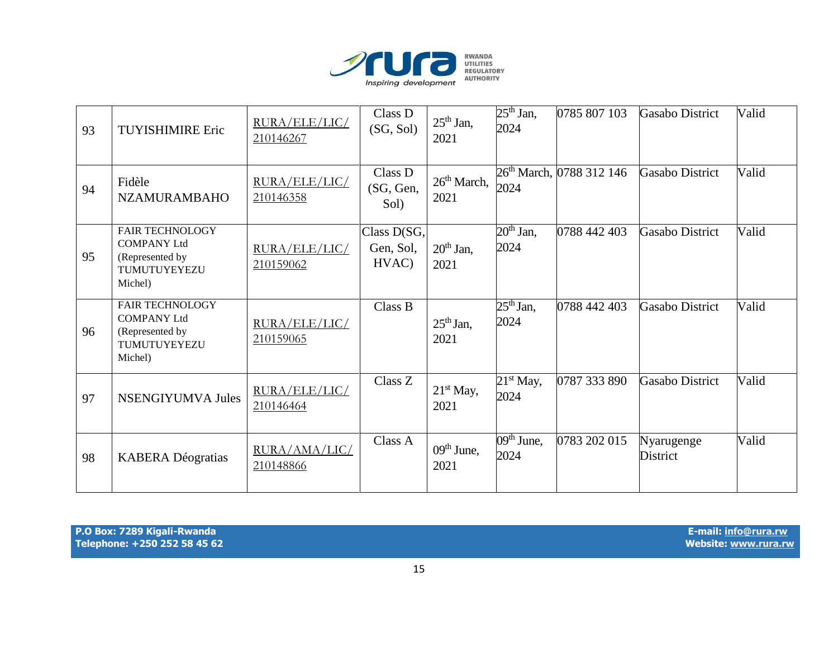

| 93 | <b>TUYISHIMIRE Eric</b>                                                                    | RURA/ELE/LIC/<br>210146267 | Class D<br>(SG, Sol)              | $25th$ Jan,<br>2021    | $25th$ Jan,<br>2024                       | 0785 807 103                         | <b>Gasabo District</b> | Valid |
|----|--------------------------------------------------------------------------------------------|----------------------------|-----------------------------------|------------------------|-------------------------------------------|--------------------------------------|------------------------|-------|
| 94 | Fidèle<br><b>NZAMURAMBAHO</b>                                                              | RURA/ELE/LIC/<br>210146358 | Class D<br>(SG, Gen,<br>Sol)      | $26th March$ ,<br>2021 | 2024                                      | 26 <sup>th</sup> March, 0788 312 146 | <b>Gasabo District</b> | Valid |
| 95 | <b>FAIR TECHNOLOGY</b><br><b>COMPANY Ltd</b><br>(Represented by<br>TUMUTUYEYEZU<br>Michel) | RURA/ELE/LIC/<br>210159062 | Class D(SG,<br>Gen, Sol,<br>HVAC) | $20th$ Jan,<br>2021    | $20th$ Jan,<br>2024                       | 0788 442 403                         | <b>Gasabo District</b> | Valid |
| 96 | <b>FAIR TECHNOLOGY</b><br><b>COMPANY Ltd</b><br>(Represented by<br>TUMUTUYEYEZU<br>Michel) | RURA/ELE/LIC/<br>210159065 | Class B                           | $25th$ Jan,<br>2021    | $25th$ Jan,<br>2024                       | 0788 442 403                         | <b>Gasabo District</b> | Valid |
| 97 | <b>NSENGIYUMVA Jules</b>                                                                   | RURA/ELE/LIC/<br>210146464 | Class Z                           | $21st$ May,<br>2021    | $21st$ May,<br>2024                       | 0787 333 890                         | <b>Gasabo District</b> | Valid |
| 98 | <b>KABERA Déogratias</b>                                                                   | RURA/AMA/LIC/<br>210148866 | Class A                           | $09th$ June,<br>2021   | $\overline{0}9^{\text{th}}$ June,<br>2024 | 0783 202 015                         | Nyarugenge<br>District | Valid |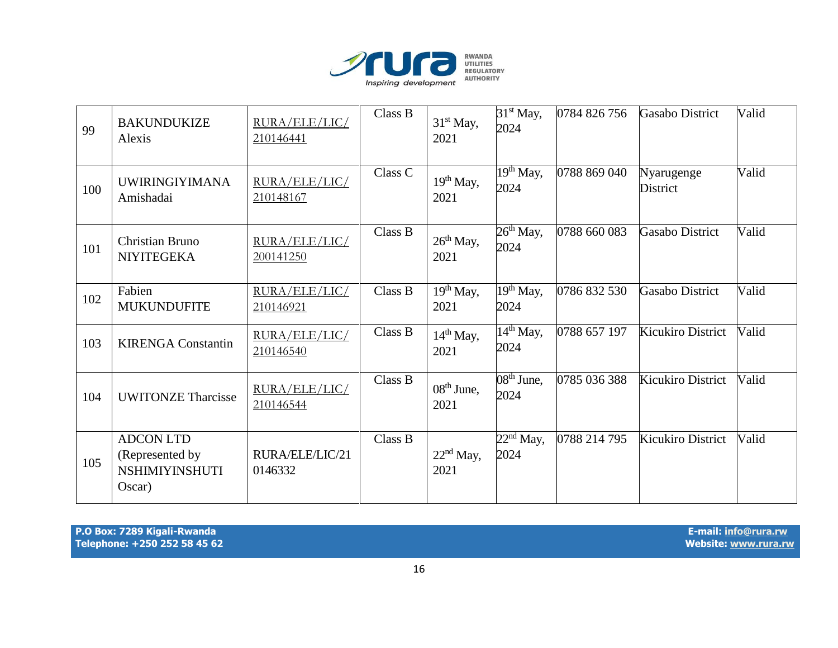

| 99  | <b>BAKUNDUKIZE</b><br>Alexis                                           | RURA/ELE/LIC/<br>210146441 | Class B | 31 <sup>st</sup> May,<br>2021 | $31st$ May,<br>2024                        | 0784 826 756 | <b>Gasabo District</b>        | Valid |
|-----|------------------------------------------------------------------------|----------------------------|---------|-------------------------------|--------------------------------------------|--------------|-------------------------------|-------|
| 100 | <b>UWIRINGIYIMANA</b><br>Amishadai                                     | RURA/ELE/LIC/<br>210148167 | Class C | 19 <sup>th</sup> May,<br>2021 | $\overline{19}$ <sup>th</sup> May,<br>2024 | 0788 869 040 | Nyarugenge<br><b>District</b> | Valid |
| 101 | Christian Bruno<br><b>NIYITEGEKA</b>                                   | RURA/ELE/LIC/<br>200141250 | Class B | $26th$ May,<br>2021           | $26th$ May,<br>2024                        | 0788 660 083 | <b>Gasabo District</b>        | Valid |
| 102 | Fabien<br><b>MUKUNDUFITE</b>                                           | RURA/ELE/LIC/<br>210146921 | Class B | $19th$ May,<br>2021           | $\overline{1}9^{th}$ May,<br>2024          | 0786 832 530 | <b>Gasabo District</b>        | Valid |
| 103 | <b>KIRENGA Constantin</b>                                              | RURA/ELE/LIC/<br>210146540 | Class B | $14th$ May,<br>2021           | $\overline{1}4^{\text{th}}$ May,<br>2024   | 0788 657 197 | Kicukiro District             | Valid |
| 104 | <b>UWITONZE Tharcisse</b>                                              | RURA/ELE/LIC/<br>210146544 | Class B | $08th$ June,<br>2021          | $08th$ June,<br>2024                       | 0785 036 388 | <b>Kicukiro District</b>      | Valid |
| 105 | <b>ADCON LTD</b><br>(Represented by<br><b>NSHIMIYINSHUTI</b><br>Oscar) | RURA/ELE/LIC/21<br>0146332 | Class B | $22nd$ May,<br>2021           | $22^{nd}$ May,<br>2024                     | 0788 214 795 | <b>Kicukiro District</b>      | Valid |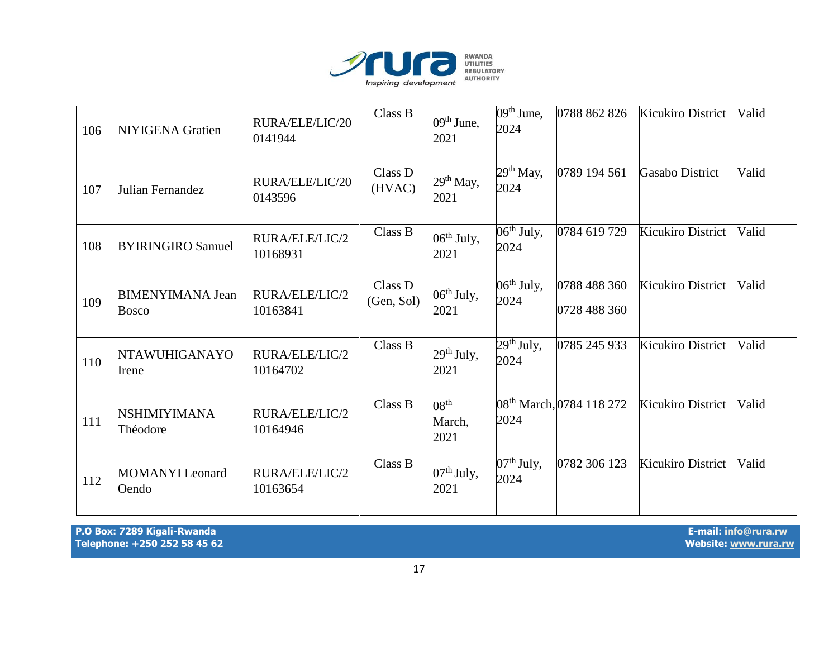

| 106 | NIYIGENA Gratien                        | RURA/ELE/LIC/20<br>0141944 | Class B               | $09th$ June,<br>2021               | $09th$ June,<br>2024                        | 0788 862 826                         | Kicukiro District        | Valid |
|-----|-----------------------------------------|----------------------------|-----------------------|------------------------------------|---------------------------------------------|--------------------------------------|--------------------------|-------|
| 107 | Julian Fernandez                        | RURA/ELE/LIC/20<br>0143596 | Class D<br>(HVAC)     | $29th$ May,<br>2021                | $29th$ May,<br>2024                         | 0789 194 561                         | Gasabo District          | Valid |
| 108 | <b>BYIRINGIRO Samuel</b>                | RURA/ELE/LIC/2<br>10168931 | Class B               | $06^{th}$ July,<br>2021            | $\overline{06}$ <sup>th</sup> July,<br>2024 | 0784 619 729                         | <b>Kicukiro District</b> | Valid |
| 109 | <b>BIMENYIMANA Jean</b><br><b>Bosco</b> | RURA/ELE/LIC/2<br>10163841 | Class D<br>(Gen, Sol) | $06th$ July,<br>2021               | $06th$ July,<br>2024                        | 0788 488 360<br>0728 488 360         | Kicukiro District        | Valid |
| 110 | <b>NTAWUHIGANAYO</b><br>Irene           | RURA/ELE/LIC/2<br>10164702 | Class B               | $29th$ July,<br>2021               | $29th$ July,<br>2024                        | 0785 245 933                         | <b>Kicukiro District</b> | Valid |
| 111 | <b>NSHIMIYIMANA</b><br>Théodore         | RURA/ELE/LIC/2<br>10164946 | Class B               | 08 <sup>th</sup><br>March,<br>2021 | 2024                                        | 08 <sup>th</sup> March, 0784 118 272 | Kicukiro District        | Valid |
| 112 | <b>MOMANYI</b> Leonard<br>Oendo         | RURA/ELE/LIC/2<br>10163654 | Class B               | 07 <sup>th</sup> July,<br>2021     | $07th$ July,<br>2024                        | 0782 306 123                         | Kicukiro District        | Valid |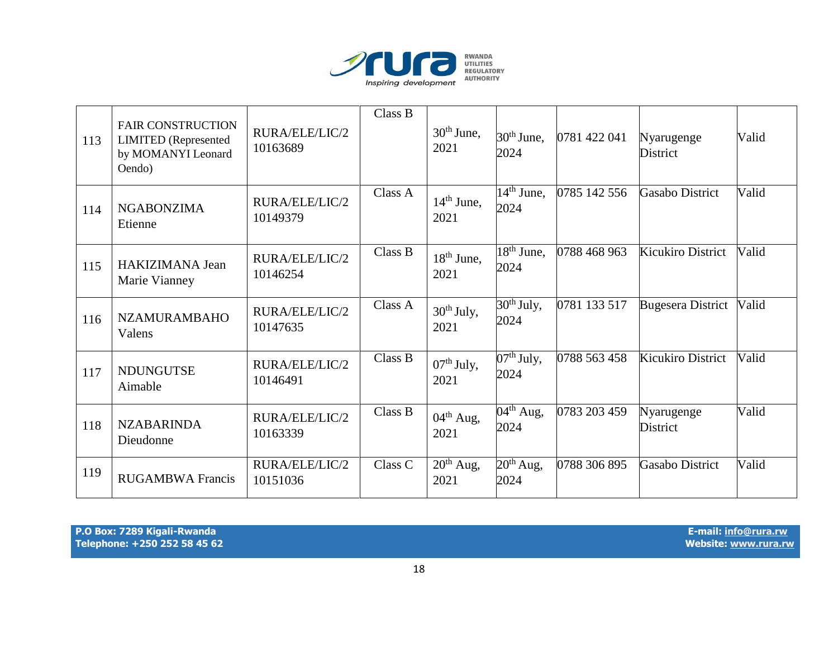

| 113 | <b>FAIR CONSTRUCTION</b><br><b>LIMITED</b> (Represented<br>by MOMANYI Leonard<br>Oendo) | RURA/ELE/LIC/2<br>10163689 | Class B | $30th$ June,<br>2021          | $30th$ June,<br>2024                        | 0781 422 041 | Nyarugenge<br><b>District</b> | Valid |
|-----|-----------------------------------------------------------------------------------------|----------------------------|---------|-------------------------------|---------------------------------------------|--------------|-------------------------------|-------|
| 114 | <b>NGABONZIMA</b><br>Etienne                                                            | RURA/ELE/LIC/2<br>10149379 | Class A | $14th$ June,<br>2021          | $\overline{14}^{\text{th}}$ June,<br>2024   | 0785 142 556 | Gasabo District               | Valid |
| 115 | HAKIZIMANA Jean<br>Marie Vianney                                                        | RURA/ELE/LIC/2<br>10146254 | Class B | $18th$ June,<br>2021          | $\overline{18^{th}}$ June,<br>2024          | 0788 468 963 | Kicukiro District             | Valid |
| 116 | <b>NZAMURAMBAHO</b><br>Valens                                                           | RURA/ELE/LIC/2<br>10147635 | Class A | $30th$ July,<br>2021          | $30th$ July,<br>2024                        | 0781 133 517 | <b>Bugesera District</b>      | Valid |
| 117 | <b>NDUNGUTSE</b><br>Aimable                                                             | RURA/ELE/LIC/2<br>10146491 | Class B | $07th$ July,<br>2021          | $\overline{07}$ <sup>th</sup> July,<br>2024 | 0788 563 458 | Kicukiro District             | Valid |
| 118 | <b>NZABARINDA</b><br>Dieudonne                                                          | RURA/ELE/LIC/2<br>10163339 | Class B | $04^{\text{th}}$ Aug,<br>2021 | $\overline{0}4^{\text{th}}$ Aug,<br>2024    | 0783 203 459 | Nyarugenge<br>District        | Valid |
| 119 | <b>RUGAMBWA Francis</b>                                                                 | RURA/ELE/LIC/2<br>10151036 | Class C | $20th$ Aug,<br>2021           | $20th$ Aug,<br>2024                         | 0788 306 895 | <b>Gasabo District</b>        | Valid |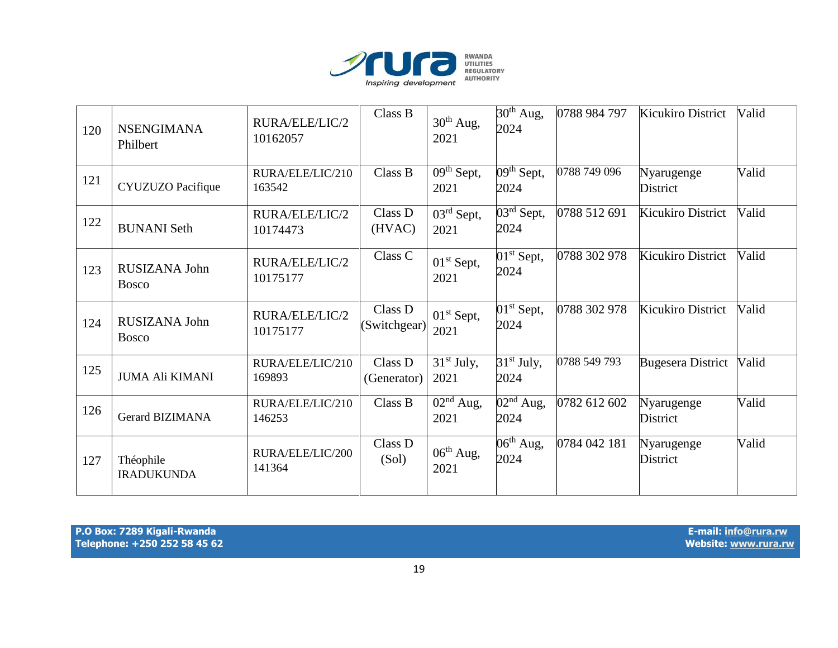

| 120 | <b>NSENGIMANA</b><br>Philbert  | RURA/ELE/LIC/2<br>10162057 | Class B                 | 30 <sup>th</sup> Aug,<br>2021              | $30th$ Aug,<br>2024                | 0788 984 797 | <b>Kicukiro District</b>      | Valid |
|-----|--------------------------------|----------------------------|-------------------------|--------------------------------------------|------------------------------------|--------------|-------------------------------|-------|
| 121 | CYUZUZO Pacifique              | RURA/ELE/LIC/210<br>163542 | Class B                 | $\overline{09^{th}}$ Sept,<br>2021         | $\overline{09^{th}}$ Sept,<br>2024 | 0788 749 096 | Nyarugenge<br>District        | Valid |
| 122 | <b>BUNANI</b> Seth             | RURA/ELE/LIC/2<br>10174473 | Class D<br>(HVAC)       | 03rd Sept,<br>2021                         | $\overline{03^{rd}}$ Sept,<br>2024 | 0788 512 691 | <b>Kicukiro District</b>      | Valid |
| 123 | RUSIZANA John<br><b>Bosco</b>  | RURA/ELE/LIC/2<br>10175177 | Class C                 | 01 <sup>st</sup> Sept,<br>2021             | $01st$ Sept,<br>2024               | 0788 302 978 | <b>Kicukiro District</b>      | Valid |
| 124 | RUSIZANA John<br><b>Bosco</b>  | RURA/ELE/LIC/2<br>10175177 | Class D<br>(Switchgear) | 01 <sup>st</sup> Sept,<br>2021             | $01st$ Sept,<br>2024               | 0788 302 978 | <b>Kicukiro District</b>      | Valid |
| 125 | <b>JUMA Ali KIMANI</b>         | RURA/ELE/LIC/210<br>169893 | Class D<br>(Generator)  | $31st$ July,<br>2021                       | $31st$ July,<br>2024               | 0788 549 793 | <b>Bugesera District</b>      | Valid |
| 126 | <b>Gerard BIZIMANA</b>         | RURA/ELE/LIC/210<br>146253 | Class B                 | $\overline{02}$ <sup>nd</sup> Aug,<br>2021 | $\overline{02^{nd}}$ Aug,<br>2024  | 0782 612 602 | Nyarugenge<br><b>District</b> | Valid |
| 127 | Théophile<br><b>IRADUKUNDA</b> | RURA/ELE/LIC/200<br>141364 | Class D<br>(Sol)        | $06th$ Aug,<br>2021                        | $06^{\text{th}}$ Aug,<br>2024      | 0784 042 181 | Nyarugenge<br>District        | Valid |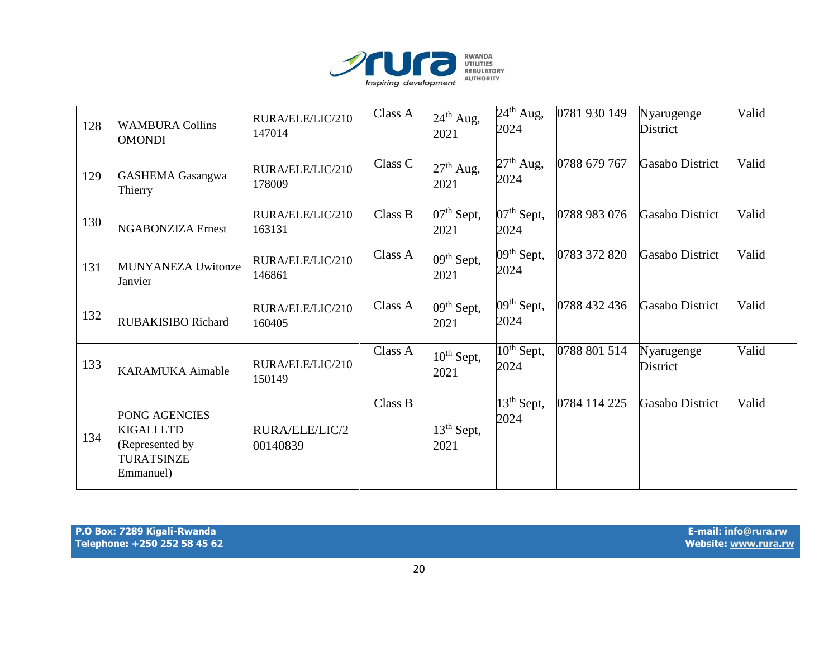

| 128 | <b>WAMBURA Collins</b><br><b>OMONDI</b>                                                 | RURA/ELE/LIC/210<br>147014 | Class A | $24th$ Aug,<br>2021            | $24th$ Aug,<br>2024                         | 0781 930 149 | Nyarugenge<br>District        | Valid |
|-----|-----------------------------------------------------------------------------------------|----------------------------|---------|--------------------------------|---------------------------------------------|--------------|-------------------------------|-------|
| 129 | <b>GASHEMA</b> Gasangwa<br>Thierry                                                      | RURA/ELE/LIC/210<br>178009 | Class C | $27th$ Aug,<br>2021            | $27th$ Aug,<br>2024                         | 0788 679 767 | Gasabo District               | Valid |
| 130 | <b>NGABONZIZA Ernest</b>                                                                | RURA/ELE/LIC/210<br>163131 | Class B | $07th$ Sept,<br>2021           | $07th$ Sept,<br>2024                        | 0788 983 076 | <b>Gasabo District</b>        | Valid |
| 131 | <b>MUNYANEZA Uwitonze</b><br>Janvier                                                    | RURA/ELE/LIC/210<br>146861 | Class A | 09 <sup>th</sup> Sept,<br>2021 | $\overline{09}$ <sup>th</sup> Sept,<br>2024 | 0783 372 820 | Gasabo District               | Valid |
| 132 | <b>RUBAKISIBO Richard</b>                                                               | RURA/ELE/LIC/210<br>160405 | Class A | $09th$ Sept,<br>2021           | $\overline{09}^{\text{th}}$ Sept,<br>2024   | 0788 432 436 | <b>Gasabo District</b>        | Valid |
| 133 | <b>KARAMUKA Aimable</b>                                                                 | RURA/ELE/LIC/210<br>150149 | Class A | $10th$ Sept,<br>2021           | $\overline{10}^{\text{th}}$ Sept,<br>2024   | 0788 801 514 | Nyarugenge<br><b>District</b> | Valid |
| 134 | PONG AGENCIES<br><b>KIGALI LTD</b><br>(Represented by<br><b>TURATSINZE</b><br>Emmanuel) | RURA/ELE/LIC/2<br>00140839 | Class B | $13th$ Sept,<br>2021           | $13th$ Sept,<br>2024                        | 0784 114 225 | Gasabo District               | Valid |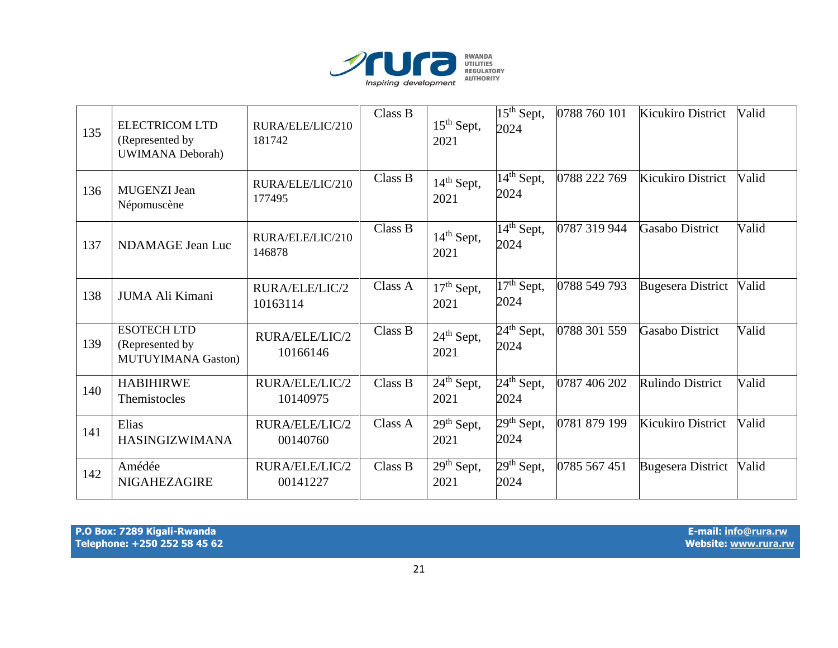

| 135 | <b>ELECTRICOM LTD</b><br>(Represented by<br><b>UWIMANA Deborah</b> ) | RURA/ELE/LIC/210<br>181742 | Class B | $15th$ Sept,<br>2021 | $15th$ Sept,<br>2024                        | 0788 760 101 | <b>Kicukiro District</b> | Valid |
|-----|----------------------------------------------------------------------|----------------------------|---------|----------------------|---------------------------------------------|--------------|--------------------------|-------|
| 136 | <b>MUGENZI</b> Jean<br>Népomuscène                                   | RURA/ELE/LIC/210<br>177495 | Class B | $14th$ Sept,<br>2021 | $\overline{1}4^{\text{th}}$ Sept,<br>2024   | 0788 222 769 | Kicukiro District        | Valid |
| 137 | NDAMAGE Jean Luc                                                     | RURA/ELE/LIC/210<br>146878 | Class B | $14th$ Sept,<br>2021 | $\overline{14}^{\text{th}}$ Sept,<br>2024   | 0787 319 944 | <b>Gasabo District</b>   | Valid |
| 138 | JUMA Ali Kimani                                                      | RURA/ELE/LIC/2<br>10163114 | Class A | $17th$ Sept,<br>2021 | $\overline{17}$ <sup>th</sup> Sept,<br>2024 | 0788 549 793 | <b>Bugesera District</b> | Valid |
| 139 | <b>ESOTECH LTD</b><br>(Represented by<br><b>MUTUYIMANA Gaston)</b>   | RURA/ELE/LIC/2<br>10166146 | Class B | $24th$ Sept,<br>2021 | $24th$ Sept,<br>2024                        | 0788 301 559 | <b>Gasabo District</b>   | Valid |
| 140 | <b>HABIHIRWE</b><br>Themistocles                                     | RURA/ELE/LIC/2<br>10140975 | Class B | $24th$ Sept,<br>2021 | $24th$ Sept,<br>2024                        | 0787 406 202 | Rulindo District         | Valid |
| 141 | Elias<br><b>HASINGIZWIMANA</b>                                       | RURA/ELE/LIC/2<br>00140760 | Class A | $29th$ Sept,<br>2021 | $29th$ Sept,<br>2024                        | 0781 879 199 | Kicukiro District        | Valid |
| 142 | Amédée<br><b>NIGAHEZAGIRE</b>                                        | RURA/ELE/LIC/2<br>00141227 | Class B | $29th$ Sept,<br>2021 | $29th$ Sept,<br>2024                        | 0785 567 451 | <b>Bugesera District</b> | Valid |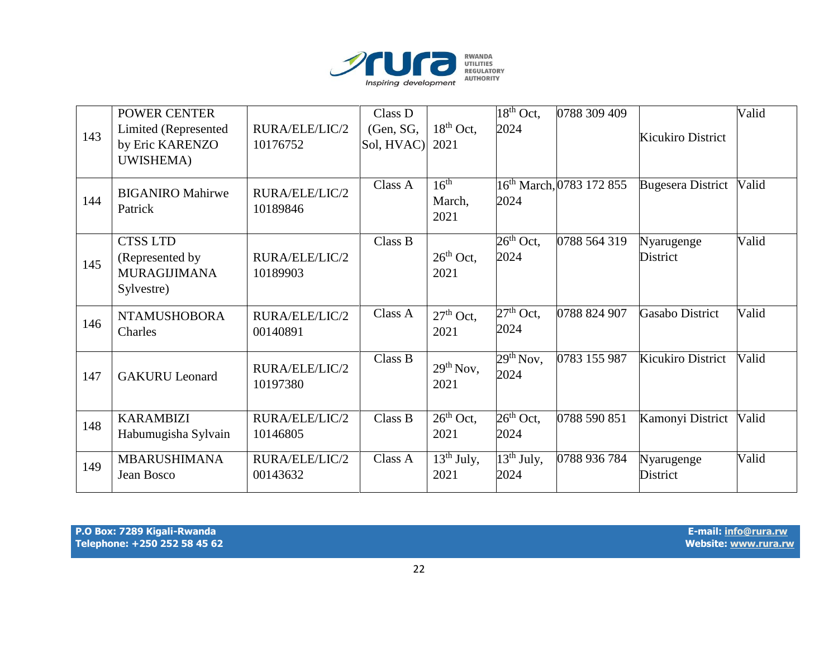

| 143 | POWER CENTER<br>Limited (Represented<br>by Eric KARENZO                 | RURA/ELE/LIC/2<br>10176752 | Class D<br>(Gen, SG,<br>Sol, HVAC) | $18th$ Oct,<br>2021                | $18th$ Oct,<br>2024                       | 0788 309 409                         | Kicukiro District      | Valid |
|-----|-------------------------------------------------------------------------|----------------------------|------------------------------------|------------------------------------|-------------------------------------------|--------------------------------------|------------------------|-------|
|     | UWISHEMA)                                                               |                            |                                    |                                    |                                           |                                      |                        |       |
| 144 | <b>BIGANIRO Mahirwe</b><br>Patrick                                      | RURA/ELE/LIC/2<br>10189846 | Class A                            | 16 <sup>th</sup><br>March,<br>2021 | 2024                                      | 16 <sup>th</sup> March, 0783 172 855 | Bugesera District      | Valid |
| 145 | <b>CTSS LTD</b><br>(Represented by<br><b>MURAGIJIMANA</b><br>Sylvestre) | RURA/ELE/LIC/2<br>10189903 | Class B                            | $26th$ Oct,<br>2021                | $26th$ Oct,<br>2024                       | 0788 564 319                         | Nyarugenge<br>District | Valid |
| 146 | <b>NTAMUSHOBORA</b><br>Charles                                          | RURA/ELE/LIC/2<br>00140891 | Class A                            | $27th$ Oct,<br>2021                | $27th$ Oct,<br>2024                       | 0788 824 907                         | <b>Gasabo District</b> | Valid |
| 147 | <b>GAKURU</b> Leonard                                                   | RURA/ELE/LIC/2<br>10197380 | Class B                            | 29 <sup>th</sup> Nov,<br>2021      | $29th$ Nov,<br>2024                       | 0783 155 987                         | Kicukiro District      | Valid |
| 148 | <b>KARAMBIZI</b><br>Habumugisha Sylvain                                 | RURA/ELE/LIC/2<br>10146805 | Class B                            | $26th$ Oct,<br>2021                | $26th$ Oct,<br>2024                       | 0788 590 851                         | Kamonyi District       | Valid |
| 149 | <b>MBARUSHIMANA</b><br>Jean Bosco                                       | RURA/ELE/LIC/2<br>00143632 | Class A                            | $13th$ July,<br>2021               | $\overline{1}3^{\text{th}}$ July,<br>2024 | 0788 936 784                         | Nyarugenge<br>District | Valid |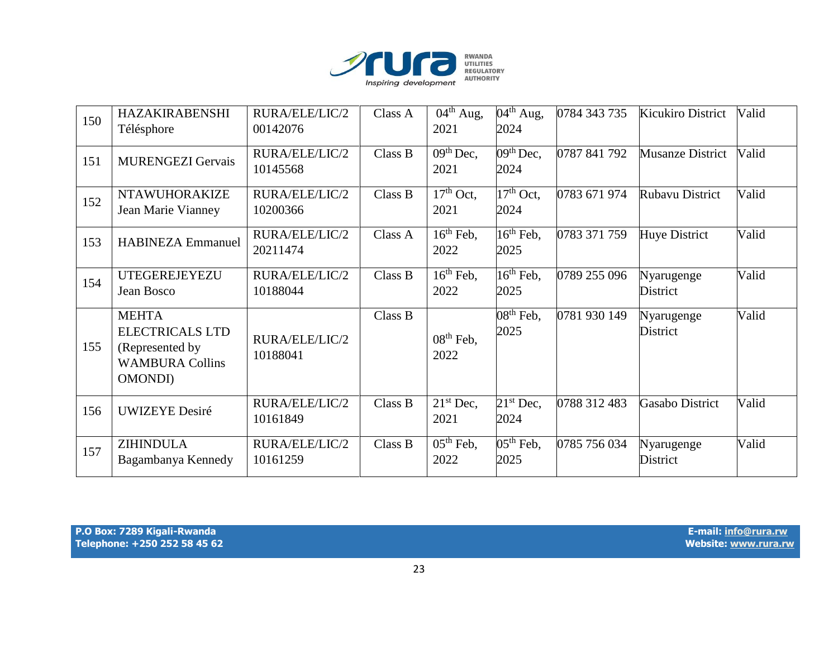

| 150 | <b>HAZAKIRABENSHI</b><br>Télésphore                                                                    | RURA/ELE/LIC/2<br>00142076 | Class A | $\overline{0}4^{\text{th}}$ Aug,<br>2021   | $04th$ Aug,<br>2024                         | 0784 343 735 | <b>Kicukiro District</b> | Valid |
|-----|--------------------------------------------------------------------------------------------------------|----------------------------|---------|--------------------------------------------|---------------------------------------------|--------------|--------------------------|-------|
| 151 | <b>MURENGEZI Gervais</b>                                                                               | RURA/ELE/LIC/2<br>10145568 | Class B | $09th$ Dec,<br>2021                        | $\overline{0}$ 9 <sup>th</sup> Dec,<br>2024 | 0787 841 792 | <b>Musanze District</b>  | Valid |
| 152 | <b>NTAWUHORAKIZE</b><br>Jean Marie Vianney                                                             | RURA/ELE/LIC/2<br>10200366 | Class B | $17th$ Oct,<br>2021                        | $\overline{17}$ <sup>th</sup> Oct,<br>2024  | 0783 671 974 | Rubavu District          | Valid |
| 153 | <b>HABINEZA Emmanuel</b>                                                                               | RURA/ELE/LIC/2<br>20211474 | Class A | $16th$ Feb.<br>2022                        | $16th$ Feb,<br>2025                         | 0783 371 759 | Huye District            | Valid |
| 154 | UTEGEREJEYEZU<br>Jean Bosco                                                                            | RURA/ELE/LIC/2<br>10188044 | Class B | $\overline{16}$ <sup>th</sup> Feb,<br>2022 | $16th$ Feb,<br>2025                         | 0789 255 096 | Nyarugenge<br>District   | Valid |
| 155 | <b>MEHTA</b><br><b>ELECTRICALS LTD</b><br>(Represented by<br><b>WAMBURA Collins</b><br><b>OMONDI</b> ) | RURA/ELE/LIC/2<br>10188041 | Class B | $08th$ Feb,<br>2022                        | $08th$ Feb,<br>2025                         | 0781 930 149 | Nyarugenge<br>District   | Valid |
| 156 | <b>UWIZEYE</b> Desiré                                                                                  | RURA/ELE/LIC/2<br>10161849 | Class B | $21st$ Dec,<br>2021                        | $21st$ Dec,<br>2024                         | 0788 312 483 | Gasabo District          | Valid |
| 157 | <b>ZIHINDULA</b><br>Bagambanya Kennedy                                                                 | RURA/ELE/LIC/2<br>10161259 | Class B | $\overline{0}5^{\text{th}}$ Feb,<br>2022   | $\overline{05}$ <sup>th</sup> Feb,<br>2025  | 0785 756 034 | Nyarugenge<br>District   | Valid |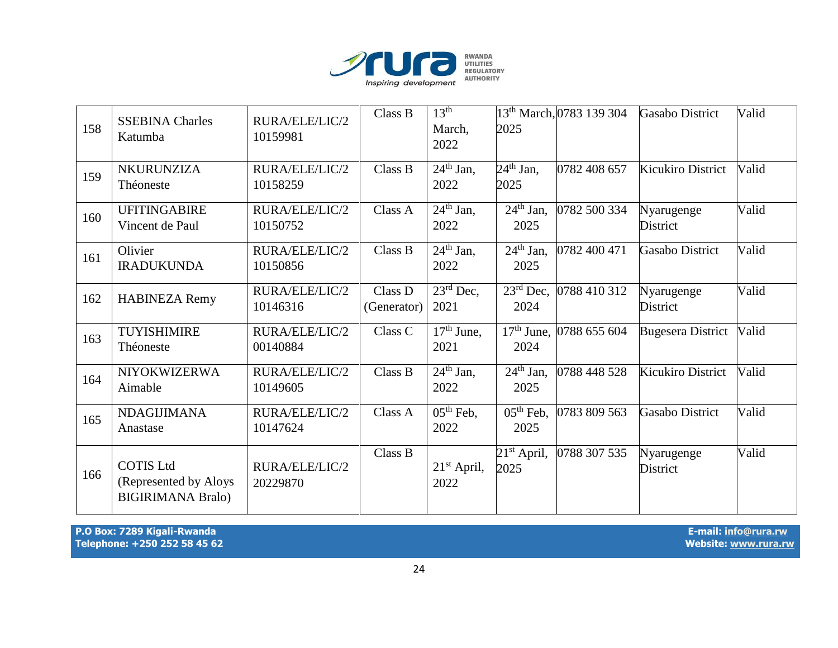

| 158 | <b>SSEBINA Charles</b><br>Katumba                                     | RURA/ELE/LIC/2<br>10159981 | Class B                | 13 <sup>th</sup><br>March,<br>2022         | 2025                                     | 13th March, 0783 139 304  | <b>Gasabo District</b>        | Valid |
|-----|-----------------------------------------------------------------------|----------------------------|------------------------|--------------------------------------------|------------------------------------------|---------------------------|-------------------------------|-------|
| 159 | NKURUNZIZA<br>Théoneste                                               | RURA/ELE/LIC/2<br>10158259 | Class B                | $\overline{24}$ <sup>th</sup> Jan,<br>2022 | $\overline{24^{th}}$ Jan,<br>2025        | 0782 408 657              | <b>Kicukiro District</b>      | Valid |
| 160 | <b>UFITINGABIRE</b><br>Vincent de Paul                                | RURA/ELE/LIC/2<br>10150752 | Class A                | $24th$ Jan,<br>2022                        | $\overline{2}4^{\text{th}}$ Jan,<br>2025 | 0782 500 334              | Nyarugenge<br><b>District</b> | Valid |
| 161 | Olivier<br><b>IRADUKUNDA</b>                                          | RURA/ELE/LIC/2<br>10150856 | Class B                | $\overline{2}4^{\text{th}}$ Jan,<br>2022   | $\overline{2}4^{\text{th}}$ Jan,<br>2025 | 0782 400 471              | <b>Gasabo District</b>        | Valid |
| 162 | <b>HABINEZA Remy</b>                                                  | RURA/ELE/LIC/2<br>10146316 | Class D<br>(Generator) | $23^{\text{rd}}$ Dec,<br>2021              | 2024                                     | 23rd Dec, 0788 410 312    | Nyarugenge<br><b>District</b> | Valid |
| 163 | TUYISHIMIRE<br>Théoneste                                              | RURA/ELE/LIC/2<br>00140884 | Class C                | $17th$ June,<br>2021                       | 2024                                     | $17th$ June, 0788 655 604 | <b>Bugesera District</b>      | Valid |
| 164 | NIYOKWIZERWA<br>Aimable                                               | RURA/ELE/LIC/2<br>10149605 | Class B                | $\overline{24^{th}}$ Jan,<br>2022          | $\overline{2}4^{\text{th}}$ Jan,<br>2025 | 0788 448 528              | Kicukiro District             | Valid |
| 165 | <b>NDAGIJIMANA</b><br>Anastase                                        | RURA/ELE/LIC/2<br>10147624 | Class A                | $\overline{05^{th}}$ Feb,<br>2022          | $\overline{0}5^{th}$ Feb,<br>2025        | 0783 809 563              | Gasabo District               | Valid |
| 166 | <b>COTIS Ltd</b><br>(Represented by Aloys<br><b>BIGIRIMANA Bralo)</b> | RURA/ELE/LIC/2<br>20229870 | Class B                | $21st$ April,<br>2022                      | $21st$ April,<br>2025                    | 0788 307 535              | Nyarugenge<br>District        | Valid |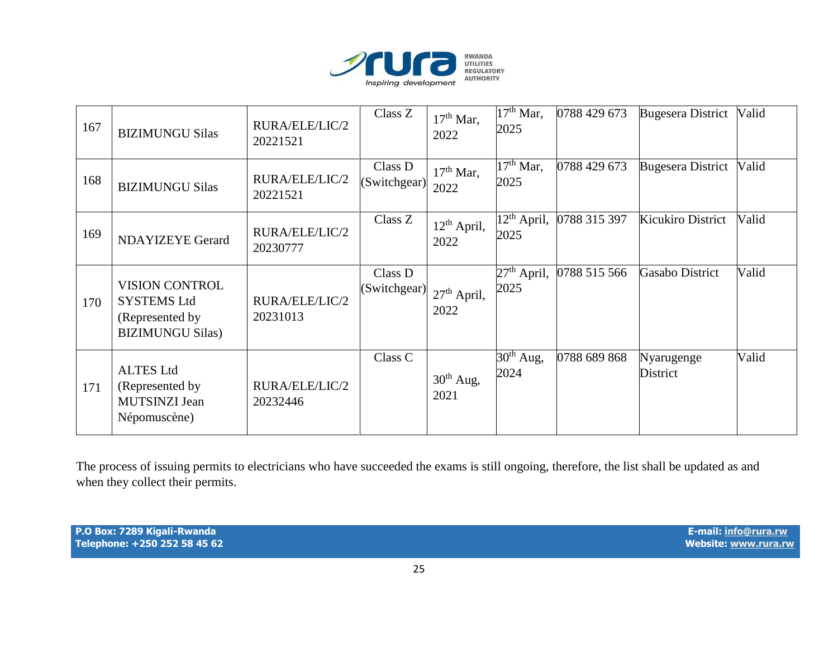

| 167 | <b>BIZIMUNGU Silas</b>                                                                    | RURA/ELE/LIC/2<br>20221521 | Class Z                                    | $17th$ Mar,<br>2022   | $17th$ Mar,<br>2025                          | 0788 429 673 | <b>Bugesera District</b> | Valid |
|-----|-------------------------------------------------------------------------------------------|----------------------------|--------------------------------------------|-----------------------|----------------------------------------------|--------------|--------------------------|-------|
| 168 | <b>BIZIMUNGU Silas</b>                                                                    | RURA/ELE/LIC/2<br>20221521 | Class D<br>(Switchgear)                    | $17th$ Mar,<br>2022   | $17th$ Mar,<br>2025                          | 0788 429 673 | Bugesera District        | Valid |
| 169 | <b>NDAYIZEYE Gerard</b>                                                                   | RURA/ELE/LIC/2<br>20230777 | Class Z                                    | $12th$ April,<br>2022 | $\overline{12}$ <sup>th</sup> April,<br>2025 | 0788 315 397 | Kicukiro District        | Valid |
| 170 | <b>VISION CONTROL</b><br><b>SYSTEMS Ltd</b><br>(Represented by<br><b>BIZIMUNGU Silas)</b> | RURA/ELE/LIC/2<br>20231013 | Class D<br>$ $ (Switchgear) $ 27th$ April, | 2022                  | $27th$ April,<br>2025                        | 0788 515 566 | Gasabo District          | Valid |
| 171 | <b>ALTES Ltd</b><br>(Represented by)<br>MUTSINZI Jean<br>Népomuscène)                     | RURA/ELE/LIC/2<br>20232446 | Class C                                    | $30th$ Aug,<br>2021   | $30th$ Aug,<br>2024                          | 0788 689 868 | Nyarugenge<br>District   | Valid |

The process of issuing permits to electricians who have succeeded the exams is still ongoing, therefore, the list shall be updated as and when they collect their permits.

**P.O Box: 7289 Kigali-Rwanda E-mail[: info@rura.rw](mailto:info@rura.rw)** Telephone: +250 252 58 45 62